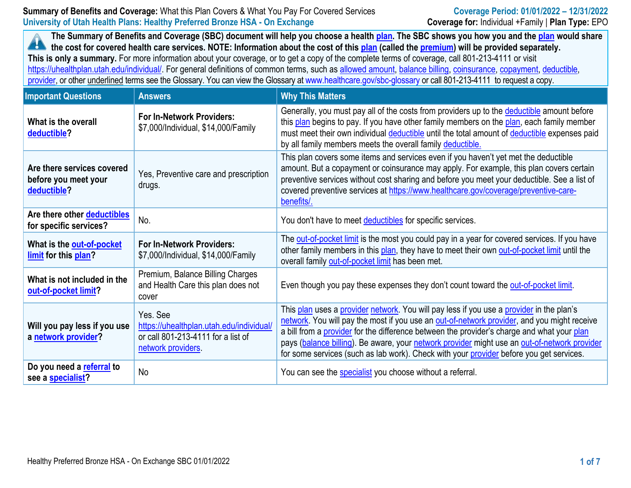# **Summary of Benefits and Coverage:** What this Plan Covers & What You Pay For Covered Services **Coverage Period: 01/01/2022 – 12/31/2022 University of Utah Health Plans: Healthy Preferred Bronze HSA - On Exchange Coverage for:** Individual +Family | **Plan Type:** EPO

**The Summary of Benefits and Coverage (SBC) document will help you choose a health [plan.](https://www.healthcare.gov/sbc-glossary/#plan) The SBC shows you how you and th[e plan](https://www.healthcare.gov/sbc-glossary/#plan) would share the cost for covered health care services. NOTE: Information about the cost of this [plan](https://www.healthcare.gov/sbc-glossary/#plan) (called the [premium\)](https://www.healthcare.gov/sbc-glossary/#premium) will be provided separately. This is only a summary.** For more information about your coverage, or to get a copy of the complete terms of coverage, call 801-213-4111 or visit https://uhealthplan.utah.edu/individual/. For general definitions of common terms, such as [allowed amount,](https://www.healthcare.gov/sbc-glossary/#allowed-amount) [balance billing,](https://www.healthcare.gov/sbc-glossary/#balance-billing) [coinsurance,](https://www.healthcare.gov/sbc-glossary/#coinsurance) [copayment,](https://www.healthcare.gov/sbc-glossary/#copayment) [deductible,](https://www.healthcare.gov/sbc-glossary/#deductible)

[provider,](https://www.healthcare.gov/sbc-glossary/#provider) or other underlined terms see the Glossary. You can view the Glossary a[t www.healthcare.gov/sbc-glossary](https://www.healthcare.gov/sbc-glossary) or call 801-213-4111 to request a copy.

| <b>Important Questions</b>                                        | <b>Answers</b>                                                                                                  | <b>Why This Matters</b>                                                                                                                                                                                                                                                                                                                                                                                                                                                          |
|-------------------------------------------------------------------|-----------------------------------------------------------------------------------------------------------------|----------------------------------------------------------------------------------------------------------------------------------------------------------------------------------------------------------------------------------------------------------------------------------------------------------------------------------------------------------------------------------------------------------------------------------------------------------------------------------|
| What is the overall<br>deductible?                                | <b>For In-Network Providers:</b><br>\$7,000/Individual, \$14,000/Family                                         | Generally, you must pay all of the costs from providers up to the deductible amount before<br>this plan begins to pay. If you have other family members on the plan, each family member<br>must meet their own individual deductible until the total amount of deductible expenses paid<br>by all family members meets the overall family deductible.                                                                                                                            |
| Are there services covered<br>before you meet your<br>deductible? | Yes, Preventive care and prescription<br>drugs.                                                                 | This plan covers some items and services even if you haven't yet met the deductible<br>amount. But a copayment or coinsurance may apply. For example, this plan covers certain<br>preventive services without cost sharing and before you meet your deductible. See a list of<br>covered preventive services at https://www.healthcare.gov/coverage/preventive-care-<br>benefits/.                                                                                               |
| Are there other deductibles<br>for specific services?             | No.                                                                                                             | You don't have to meet deductibles for specific services.                                                                                                                                                                                                                                                                                                                                                                                                                        |
| What is the out-of-pocket<br>limit for this plan?                 | <b>For In-Network Providers:</b><br>\$7,000/Individual, \$14,000/Family                                         | The out-of-pocket limit is the most you could pay in a year for covered services. If you have<br>other family members in this plan, they have to meet their own out-of-pocket limit until the<br>overall family out-of-pocket limit has been met.                                                                                                                                                                                                                                |
| What is not included in the<br>out-of-pocket limit?               | Premium, Balance Billing Charges<br>and Health Care this plan does not<br>cover                                 | Even though you pay these expenses they don't count toward the out-of-pocket limit.                                                                                                                                                                                                                                                                                                                                                                                              |
| Will you pay less if you use<br>a network provider?               | Yes. See<br>https://uhealthplan.utah.edu/individual/<br>or call 801-213-4111 for a list of<br>network providers | This plan uses a provider network. You will pay less if you use a provider in the plan's<br>network. You will pay the most if you use an out-of-network provider, and you might receive<br>a bill from a provider for the difference between the provider's charge and what your plan<br>pays (balance billing). Be aware, your network provider might use an out-of-network provider<br>for some services (such as lab work). Check with your provider before you get services. |
| Do you need a referral to<br>see a specialist?                    | <b>No</b>                                                                                                       | You can see the specialist you choose without a referral.                                                                                                                                                                                                                                                                                                                                                                                                                        |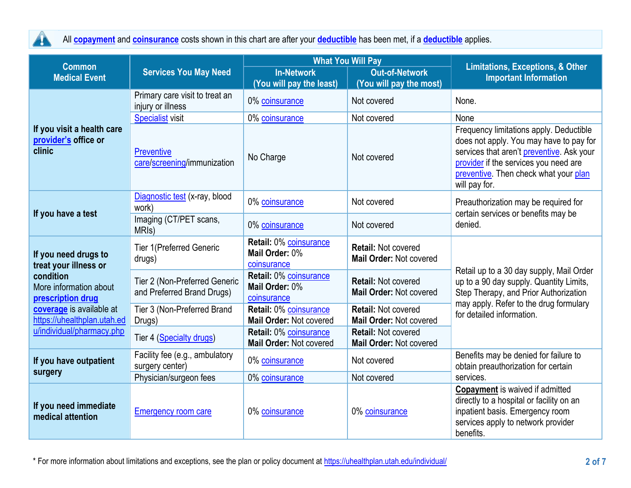

All **[copayment](https://www.healthcare.gov/sbc-glossary/#copayment)** and **[coinsurance](https://www.healthcare.gov/sbc-glossary/#coinsurance)** costs shown in this chart are after your **[deductible](https://www.healthcare.gov/sbc-glossary/#deductible)** has been met, if a **[deductible](https://www.healthcare.gov/sbc-glossary/#deductible)** applies.

| <b>Common</b>                                                                                                                                                        |                                                                            |                                                         | <b>What You Will Pay</b>                              | <b>Limitations, Exceptions, &amp; Other</b>                                                                                                                                                                                        |  |
|----------------------------------------------------------------------------------------------------------------------------------------------------------------------|----------------------------------------------------------------------------|---------------------------------------------------------|-------------------------------------------------------|------------------------------------------------------------------------------------------------------------------------------------------------------------------------------------------------------------------------------------|--|
| <b>Medical Event</b>                                                                                                                                                 | <b>In-Network</b><br><b>Out-of-Network</b><br><b>Services You May Need</b> |                                                         | <b>Important Information</b>                          |                                                                                                                                                                                                                                    |  |
|                                                                                                                                                                      | Primary care visit to treat an<br>injury or illness                        | (You will pay the least)<br>0% coinsurance              | (You will pay the most)<br>Not covered                | None.                                                                                                                                                                                                                              |  |
|                                                                                                                                                                      | <b>Specialist visit</b>                                                    | 0% coinsurance                                          | Not covered                                           | None                                                                                                                                                                                                                               |  |
| If you visit a health care<br>provider's office or<br>clinic                                                                                                         | <b>Preventive</b><br>care/screening/immunization                           | No Charge                                               | Not covered                                           | Frequency limitations apply. Deductible<br>does not apply. You may have to pay for<br>services that aren't preventive. Ask your<br>provider if the services you need are<br>preventive. Then check what your plan<br>will pay for. |  |
|                                                                                                                                                                      | Diagnostic test (x-ray, blood<br>work)                                     | 0% coinsurance                                          | Not covered                                           | Preauthorization may be required for<br>certain services or benefits may be<br>denied.                                                                                                                                             |  |
| If you have a test                                                                                                                                                   | Imaging (CT/PET scans,<br>MRI <sub>s</sub> )                               | 0% coinsurance                                          | Not covered                                           |                                                                                                                                                                                                                                    |  |
| If you need drugs to<br>treat your illness or<br>condition<br>More information about<br>prescription drug<br>coverage is available at<br>https://uhealthplan.utah.ed | <b>Tier 1(Preferred Generic</b><br>drugs)                                  | Retail: 0% coinsurance<br>Mail Order: 0%<br>coinsurance | <b>Retail: Not covered</b><br>Mail Order: Not covered |                                                                                                                                                                                                                                    |  |
|                                                                                                                                                                      | Tier 2 (Non-Preferred Generic<br>and Preferred Brand Drugs)                | Retail: 0% coinsurance<br>Mail Order: 0%<br>coinsurance | <b>Retail: Not covered</b><br>Mail Order: Not covered | Retail up to a 30 day supply, Mail Order<br>up to a 90 day supply. Quantity Limits,<br>Step Therapy, and Prior Authorization<br>may apply. Refer to the drug formulary                                                             |  |
|                                                                                                                                                                      | Tier 3 (Non-Preferred Brand<br>Drugs)                                      | Retail: 0% coinsurance<br>Mail Order: Not covered       | <b>Retail: Not covered</b><br>Mail Order: Not covered | for detailed information.                                                                                                                                                                                                          |  |
| u/individual/pharmacy.php                                                                                                                                            | Tier 4 (Specialty drugs)                                                   | Retail: 0% coinsurance<br>Mail Order: Not covered       | <b>Retail: Not covered</b><br>Mail Order: Not covered |                                                                                                                                                                                                                                    |  |
| If you have outpatient                                                                                                                                               | Facility fee (e.g., ambulatory<br>surgery center)                          | 0% coinsurance                                          | Not covered                                           | Benefits may be denied for failure to<br>obtain preauthorization for certain                                                                                                                                                       |  |
| surgery                                                                                                                                                              | Physician/surgeon fees                                                     | 0% coinsurance                                          | Not covered                                           | services.                                                                                                                                                                                                                          |  |
| If you need immediate<br>medical attention                                                                                                                           | <b>Emergency room care</b>                                                 | 0% coinsurance                                          | 0% coinsurance                                        | <b>Copayment</b> is waived if admitted<br>directly to a hospital or facility on an<br>inpatient basis. Emergency room<br>services apply to network provider<br>benefits.                                                           |  |

\* For more information about limitations and exceptions, see the plan or policy document at<https://uhealthplan.utah.edu/individual/> **2 of 7**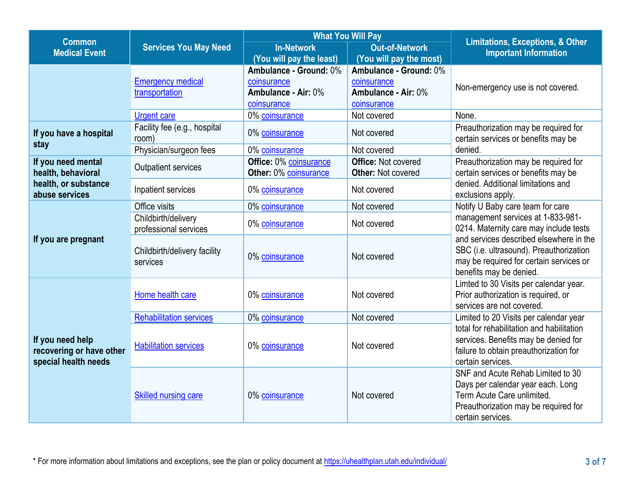| <b>Common</b>                                                        |                                              |                                                    | <b>What You Will Pay</b>                                | <b>Limitations, Exceptions, &amp; Other</b>                                                                                                                       |  |
|----------------------------------------------------------------------|----------------------------------------------|----------------------------------------------------|---------------------------------------------------------|-------------------------------------------------------------------------------------------------------------------------------------------------------------------|--|
| <b>Medical Event</b>                                                 | <b>Services You May Need</b>                 | <b>Out-of-Network</b><br><b>In-Network</b>         |                                                         | <b>Important Information</b>                                                                                                                                      |  |
|                                                                      |                                              | (You will pay the least)<br>Ambulance - Ground: 0% | (You will pay the most)<br>Ambulance - Ground: 0%       |                                                                                                                                                                   |  |
|                                                                      | <b>Emergency medical</b><br>transportation   | coinsurance<br>Ambulance - Air: 0%<br>coinsurance  | coinsurance<br>Ambulance - Air: 0%<br>coinsurance       | Non-emergency use is not covered.                                                                                                                                 |  |
|                                                                      | <b>Urgent care</b>                           | 0% coinsurance                                     | Not covered                                             | None.                                                                                                                                                             |  |
| If you have a hospital<br>stay                                       | Facility fee (e.g., hospital<br>room)        | 0% coinsurance                                     | Not covered                                             | Preauthorization may be required for<br>certain services or benefits may be                                                                                       |  |
|                                                                      | Physician/surgeon fees                       | 0% coinsurance                                     | Not covered                                             | denied.                                                                                                                                                           |  |
| If you need mental<br>health, behavioral                             | <b>Outpatient services</b>                   | Office: 0% coinsurance<br>Other: 0% coinsurance    | <b>Office: Not covered</b><br><b>Other: Not covered</b> | Preauthorization may be required for<br>certain services or benefits may be                                                                                       |  |
| health, or substance<br>abuse services                               | Inpatient services                           | 0% coinsurance                                     | Not covered                                             | denied. Additional limitations and<br>exclusions apply.                                                                                                           |  |
|                                                                      | Office visits                                | 0% coinsurance                                     | Not covered                                             | Notify U Baby care team for care                                                                                                                                  |  |
|                                                                      | Childbirth/delivery<br>professional services | 0% coinsurance                                     | Not covered                                             | management services at 1-833-981-<br>0214. Maternity care may include tests                                                                                       |  |
| If you are pregnant                                                  | Childbirth/delivery facility<br>services     | 0% coinsurance                                     | Not covered                                             | and services described elsewhere in the<br>SBC (i.e. ultrasound). Preauthorization<br>may be required for certain services or<br>benefits may be denied.          |  |
|                                                                      | Home health care                             | 0% coinsurance                                     | Not covered                                             | Limted to 30 Visits per calendar year.<br>Prior authorization is required, or<br>services are not covered.                                                        |  |
|                                                                      | <b>Rehabilitation services</b>               | 0% coinsurance                                     | Not covered                                             | Limited to 20 Visits per calendar year                                                                                                                            |  |
| If you need help<br>recovering or have other<br>special health needs | <b>Habilitation services</b>                 | 0% coinsurance                                     | Not covered                                             | total for rehabilitation and habilitation<br>services. Benefits may be denied for<br>failure to obtain preauthorization for<br>certain services.                  |  |
|                                                                      | <b>Skilled nursing care</b>                  | 0% coinsurance                                     | Not covered                                             | SNF and Acute Rehab Limited to 30<br>Days per calendar year each. Long<br>Term Acute Care unlimited.<br>Preauthorization may be required for<br>certain services. |  |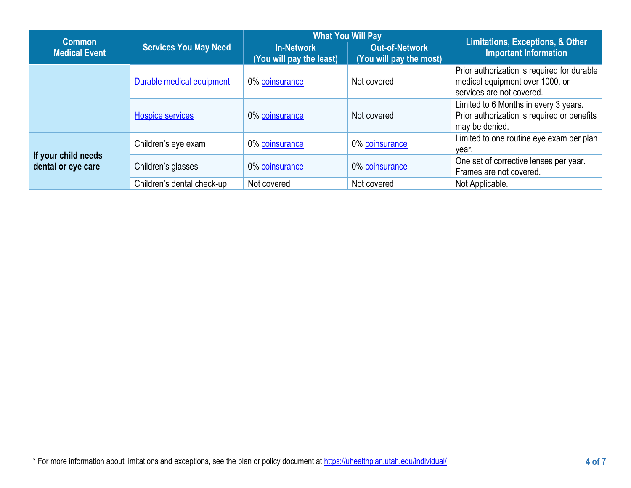| <b>Common</b>                             |                              |                                               | <b>What You Will Pay</b>                         | <b>Limitations, Exceptions, &amp; Other</b><br><b>Important Information</b>                                 |  |
|-------------------------------------------|------------------------------|-----------------------------------------------|--------------------------------------------------|-------------------------------------------------------------------------------------------------------------|--|
| <b>Medical Event</b>                      | <b>Services You May Need</b> | <b>In-Network</b><br>(You will pay the least) | <b>Out-of-Network</b><br>(You will pay the most) |                                                                                                             |  |
|                                           | Durable medical equipment    | 0% coinsurance                                | Not covered                                      | Prior authorization is required for durable<br>medical equipment over 1000, or<br>services are not covered. |  |
|                                           | <b>Hospice services</b>      | 0% coinsurance                                | Not covered                                      | Limited to 6 Months in every 3 years.<br>Prior authorization is required or benefits<br>may be denied.      |  |
|                                           | Children's eye exam          | 0% coinsurance                                | 0% coinsurance                                   | Limited to one routine eye exam per plan  <br>year.                                                         |  |
| If your child needs<br>dental or eye care | Children's glasses           | 0% coinsurance                                | 0% coinsurance                                   | One set of corrective lenses per year.<br>Frames are not covered.                                           |  |
|                                           | Children's dental check-up   | Not covered                                   | Not covered                                      | Not Applicable.                                                                                             |  |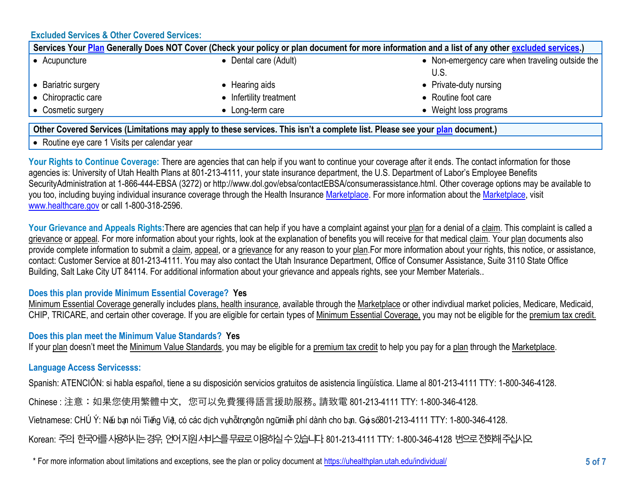# **Excluded Services & Other Covered Services:**

| Services Your Plan Generally Does NOT Cover (Check your policy or plan document for more information and a list of any other excluded services.) |                         |                                                 |  |
|--------------------------------------------------------------------------------------------------------------------------------------------------|-------------------------|-------------------------------------------------|--|
| Acupuncture                                                                                                                                      | Dental care (Adult)     | • Non-emergency care when traveling outside the |  |
|                                                                                                                                                  |                         |                                                 |  |
| <b>Bariatric surgery</b>                                                                                                                         | Hearing aids            | • Private-duty nursing                          |  |
| $\bullet$ Chiropractic care                                                                                                                      | • Infertility treatment | • Routine foot care                             |  |
| • Cosmetic surgery                                                                                                                               | Long-term care          | Weight loss programs                            |  |

# **Other Covered Services (Limitations may apply to these services. This isn't a complete list. Please see your [plan](https://www.healthcare.gov/sbc-glossary/#excluded-services) document.)**

• Routine eye care 1 Visits per calendar year

Your Rights to Continue Coverage: There are agencies that can help if you want to continue your coverage after it ends. The contact information for those agencies is: University of Utah Health Plans at 801-213-4111, your state insurance department, the U.S. Department of Labor's Employee Benefits SecurityAdministration at 1-866-444-EBSA (3272) or http://www.dol.gov/ebsa/contactEBSA/consumerassistance.html. Other coverage options may be available to you too, including buying individual insurance coverage through the Health Insurance [Marketplace.](https://www.healthcare.gov/sbc-glossary/#marketplace) For more information about the [Marketplace,](https://www.healthcare.gov/sbc-glossary/#marketplace) visit [www.healthcare.gov](http://www.healthcare.gov/) or call 1-800-318-2596.

Your Grievance and Appeals Rights: There are agencies that can help if you have a complaint against your plan for a denial of a claim. This complaint is called a grievance or appeal. For more information about your rights, look at the explanation of benefits you will receive for that medical claim. Your plan documents also provide complete information to submit a claim, appeal, or a grievance for any reason to your plan.For more information about your rights, this notice, or assistance, contact: Customer Service at 801-213-4111. You may also contact the Utah Insurance Department, Office of Consumer Assistance, Suite 3110 State Office Building, Salt Lake City UT 84114. For additional information about your grievance and appeals rights, see your Member Materials..

# **Does this plan provide Minimum Essential Coverage? Yes**

Minimum Essential Coverage generally includes plans, health insurance, available through the Marketplace or other indivdiual market policies, Medicare, Medicaid, CHIP, TRICARE, and certain other coverage. If you are eligible for certain types of Minimum Essential Coverage, you may not be eligible for the premium tax credit.

**Does this plan meet the Minimum Value Standards? Yes**

If your [plan](https://www.healthcare.gov/sbc-glossary/#plan) doesn't meet the [Minimum Value Standards,](https://www.healthcare.gov/sbc-glossary/#minimum-value-standard) you may be eligible for a [premium tax credit](https://www.healthcare.gov/sbc-glossary/#premium-tax-credits) to help you pay for a [plan](https://www.healthcare.gov/sbc-glossary/#plan) through the [Marketplace.](https://www.healthcare.gov/sbc-glossary/#marketplace)

# **Language Access Servicesss:**

Spanish: ATENCIÓN: si habla español, tiene a su disposición servicios gratuitos de asistencia lingüística. Llame al 801-213-4111 TTY: 1-800-346-4128.

Chinese : 注意:如果您使用繁體中文,您可以免費獲得語言援助服務。請致電 801-213-4111 TTY: 1-800-346-4128.

Vietnamese: CHÚ Ý: Nếu bạn nói Tiếng Việt, có các dịch vụhỗtrọngôn ngữmiễn phí dành cho bạn. Gọi số801-213-4111 TTY: 1-800-346-4128.

Korean: 주의 한국어를 사용하시는 경우, 언어지원 서비스를 무료로 이용하실 수 있습니다. 801-213-4111 TTY: 1-800-346-4128 번으로 전화해 주십시오.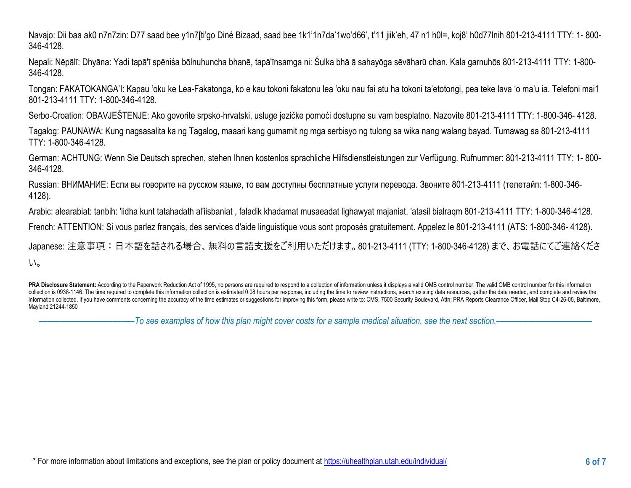Navajo: Dii baa ak0 n7n7zin: D77 saad bee y1n7[ti'go Diné Bizaad, saad bee 1k1'1n7da'1wo'd66', t'11 jiik'eh, 47 n1 h0l=, koj8' h0d77lnih 801-213-4111 TTY: 1- 800- 346-4128.

Nepali: Nēpālī: Dhyāna: Yadi tapā'ī spēniśa bōlnuhuncha bhanē, tapā'īnsamga ni: Śulka bhā ā sahayōga sēvāharū chan. Kala garnuhōs 801-213-4111 TTY: 1-800- 346-4128.

Tongan: FAKATOKANGA'I: Kapau 'oku ke Lea-Fakatonga, ko e kau tokoni fakatonu lea 'oku nau fai atu ha tokoni ta'etotongi, pea teke lava 'o ma'u ia. Telefoni mai1 801-213-4111 TTY: 1-800-346-4128.

Serbo-Croation: OBAVJEŠTENJE: Ako govorite srpsko-hrvatski, usluge jezičke pomoći dostupne su vam besplatno. Nazovite 801-213-4111 TTY: 1-800-346- 4128.

Tagalog: PAUNAWA: Kung nagsasalita ka ng Tagalog, maaari kang gumamit ng mga serbisyo ng tulong sa wika nang walang bayad. Tumawag sa 801-213-4111 TTY: 1-800-346-4128.

German: ACHTUNG: Wenn Sie Deutsch sprechen, stehen Ihnen kostenlos sprachliche Hilfsdienstleistungen zur Verfügung. Rufnummer: 801-213-4111 TTY: 1- 800- 346-4128.

Russian: ВНИМАНИЕ: Если вы говорите на русском языке, то вам доступны бесплатные услуги перевода. Звоните 801-213-4111 (телетайп: 1-800-346- 4128).

Arabic: alearabiat: tanbih: 'iidha kunt tatahadath al'iisbaniat , faladik khadamat musaeadat lighawyat majaniat. 'atasil bialraqm 801-213-4111 TTY: 1-800-346-4128.

French: ATTENTION: Si vous parlez français, des services d'aide linguistique vous sont proposés gratuitement. Appelez le 801-213-4111 (ATS: 1-800-346- 4128).

Japanese: 注意事項:日本語を話される場合、無料の言語支援をご利用いただけます。801-213-4111 (TTY: 1-800-346-4128) まで、お電話にてご連絡くださ  $U_0$ 

PRA Disclosure Statement: According to the Paperwork Reduction Act of 1995, no persons are required to respond to a collection of information unless it displays a valid OMB control number. The valid OMB control number for collection is 0938-1146. The time required to complete this information collection is estimated 0.08 hours per response, including the time to review instructions, search existing data resources, gather the data needed, an information collected. If you have comments concerning the accuracy of the time estimates or suggestions for improving this form, please write to: CMS, 7500 Security Boulevard, Attn: PRA Reports Clearance Officer, Mail Sto Mayland 21244-1850

––––––––––––––––––––––*To see examples of how this plan might cover costs for a sample medical situation, see the next section.–––––––––––*–––––––––––